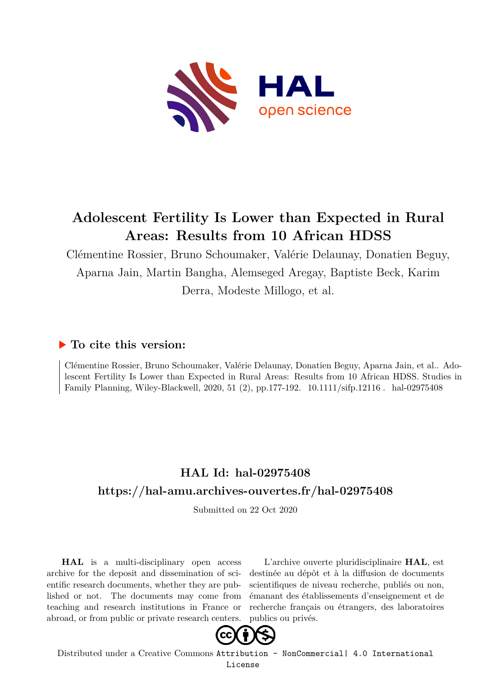

## **Adolescent Fertility Is Lower than Expected in Rural Areas: Results from 10 African HDSS**

Clémentine Rossier, Bruno Schoumaker, Valérie Delaunay, Donatien Beguy, Aparna Jain, Martin Bangha, Alemseged Aregay, Baptiste Beck, Karim Derra, Modeste Millogo, et al.

## **To cite this version:**

Clémentine Rossier, Bruno Schoumaker, Valérie Delaunay, Donatien Beguy, Aparna Jain, et al.. Adolescent Fertility Is Lower than Expected in Rural Areas: Results from 10 African HDSS. Studies in Family Planning, Wiley-Blackwell, 2020, 51 (2), pp.177-192. 10.1111/sifp.12116 . hal-02975408

## **HAL Id: hal-02975408 <https://hal-amu.archives-ouvertes.fr/hal-02975408>**

Submitted on 22 Oct 2020

**HAL** is a multi-disciplinary open access archive for the deposit and dissemination of scientific research documents, whether they are published or not. The documents may come from teaching and research institutions in France or abroad, or from public or private research centers.

L'archive ouverte pluridisciplinaire **HAL**, est destinée au dépôt et à la diffusion de documents scientifiques de niveau recherche, publiés ou non, émanant des établissements d'enseignement et de recherche français ou étrangers, des laboratoires publics ou privés.



Distributed under a Creative Commons [Attribution - NonCommercial| 4.0 International](http://creativecommons.org/licenses/by-nc/4.0/) [License](http://creativecommons.org/licenses/by-nc/4.0/)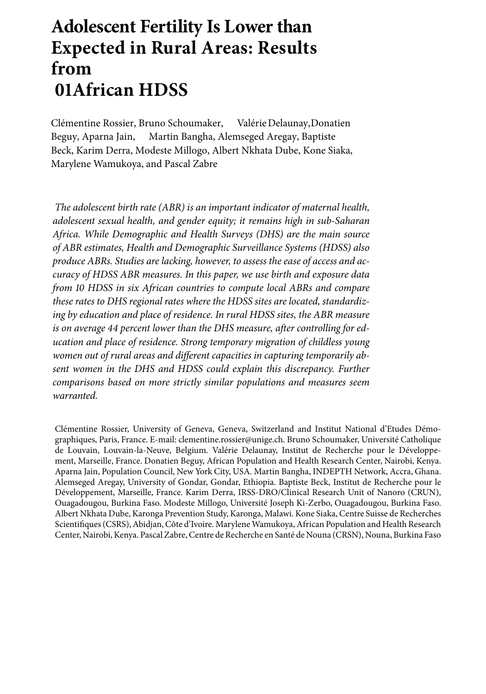# **Adolescent Fertility Is Lower than Expected in Rural Areas: Results from African HDSS**

Clémentine Rossier, Bruno Schoumaker, ValérieDelaunay,Donatien Beguy, Aparna Jain, Martin Bangha, Alemseged Aregay, Baptiste Beck, Karim Derra, Modeste Millogo, Albert Nk[hata](https://orcid.org/0000-0003-2505-4956) Dube, Kone Siaka, Marylene Wamukoya, and Pascal Zabr[e](https://orcid.org/0000-0003-1683-3341)

*The adolescent birth rate (ABR) is an important indicator of maternal health, adolescent sexual health, and gender equity; it remains high in sub-Saharan Africa. While Demographic and Health Surveys (DHS) are the main source of ABR estimates, Health and Demographic Surveillance Systems (HDSS) also produce ABRs. Studies are lacking, however, to assess the ease of access and accuracy of HDSS ABR measures. In this paper, we use birth and exposure data from HDSS in six African countries to compute local ABRs and compare these rates to DHS regional rates where the HDSS sites are located, standardizing by education and place of residence. In rural HDSS sites, the ABR measure* is on average 44 percent lower than the DHS measure, after controlling for ed*ucation and place of residence. Strong temporary migration of childless young women out of rural areas and different capacities in capturing temporarily absent women in the DHS and HDSS could explain this discrepancy. Further comparisons based on more strictly similar populations and measures seem warranted.*

Clémentine Rossier, University of Geneva, Geneva, Switzerland and Institut National d'Etudes Démographiques, Paris, France. E-mail: clementine.rossier@unige.ch. Bruno Schoumaker, Université Catholique de Louvain, Louvain-la-Neuve, Belgium. Valérie Delaunay, Institut de Recherche pour le Développement, Marseille, France. Donatien Beguy, African Population and Health Research Center, Nairobi, Kenya. Aparna Jain, Population Council, New York City, USA. Martin Bangha, INDEPTH Network, Accra, Ghana. Alemseged Aregay, University of Gondar, Gondar, Ethiopia. Baptiste Beck, Institut de Recherche pour le Développement, Marseille, France. Karim Derra, IRSS-DRO/Clinical Research Unit of Nanoro (CRUN), Ouagadougou, Burkina Faso. Modeste Millogo, Université Joseph Ki-Zerbo, Ouagadougou, Burkina Faso. Albert Nkhata Dube, Karonga Prevention Study, Karonga, Malawi. Kone Siaka, Centre Suisse de Recherches Scientifiques (CSRS), Abidjan, Côte d'Ivoire. Marylene Wamukoya, African Population and Health Research Center, Nairobi, Kenya. Pascal Zabre, Centre de Recherche en Santé de Nouna (CRSN), Nouna, Burkina Faso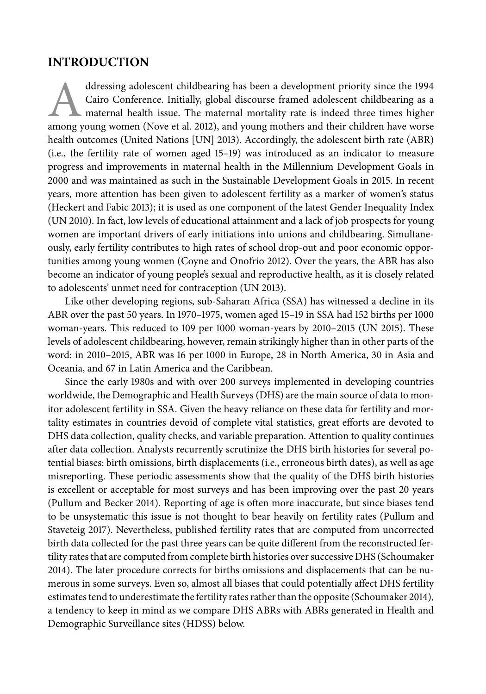#### **INTRODUCTION**

ddressing adolescent childbearing has been a development priority since the 1994<br>Cairo Conference. Initially, global discourse framed adolescent childbearing as a<br>maternal health issue. The maternal mortality rate is indee Cairo Conference. Initially, global discourse framed adolescent childbearing as a maternal health issue. The maternal mortality rate is indeed three times higher among young women (Nove et al. 2012), and young mothers and their children have worse health outcomes (United Nations [UN] 2013). Accordingly, the adolescent birth rate (ABR) (i.e., the fertility rate of women aged 15–19) was introduced as an indicator to measure progress and improvements in maternal health in the Millennium Development Goals in 2000 and was maintained as such in the Sustainable Development Goals in 2015. In recent years, more attention has been given to adolescent fertility as a marker of women's status (Heckert and Fabic 2013); it is used as one component of the latest Gender Inequality Index (UN 2010). In fact, low levels of educational attainment and a lack of job prospects for young women are important drivers of early initiations into unions and childbearing. Simultaneously, early fertility contributes to high rates of school drop-out and poor economic opportunities among young women (Coyne and Onofrio 2012). Over the years, the ABR has also become an indicator of young people's sexual and reproductive health, as it is closely related to adolescents' unmet need for contraception (UN 2013).

Like other developing regions, sub-Saharan Africa (SSA) has witnessed a decline in its ABR over the past 50 years. In 1970–1975, women aged 15–19 in SSA had 152 births per 1000 woman-years. This reduced to 109 per 1000 woman-years by 2010–2015 (UN 2015). These levels of adolescent childbearing, however, remain strikingly higher than in other parts of the word: in 2010–2015, ABR was 16 per 1000 in Europe, 28 in North America, 30 in Asia and Oceania, and 67 in Latin America and the Caribbean.

Since the early 1980s and with over 200 surveys implemented in developing countries worldwide, the Demographic and Health Surveys (DHS) are the main source of data to monitor adolescent fertility in SSA. Given the heavy reliance on these data for fertility and mortality estimates in countries devoid of complete vital statistics, great efforts are devoted to DHS data collection, quality checks, and variable preparation. Attention to quality continues after data collection. Analysts recurrently scrutinize the DHS birth histories for several potential biases: birth omissions, birth displacements (i.e., erroneous birth dates), as well as age misreporting. These periodic assessments show that the quality of the DHS birth histories is excellent or acceptable for most surveys and has been improving over the past 20 years (Pullum and Becker 2014). Reporting of age is often more inaccurate, but since biases tend to be unsystematic this issue is not thought to bear heavily on fertility rates (Pullum and Staveteig 2017). Nevertheless, published fertility rates that are computed from uncorrected birth data collected for the past three years can be quite different from the reconstructed fertility rates that are computed from complete birth histories over successive DHS (Schoumaker 2014). The later procedure corrects for births omissions and displacements that can be numerous in some surveys. Even so, almost all biases that could potentially affect DHS fertility estimates tend to underestimate the fertility rates rather than the opposite (Schoumaker 2014), a tendency to keep in mind as we compare DHS ABRs with ABRs generated in Health and Demographic Surveillance sites (HDSS) below.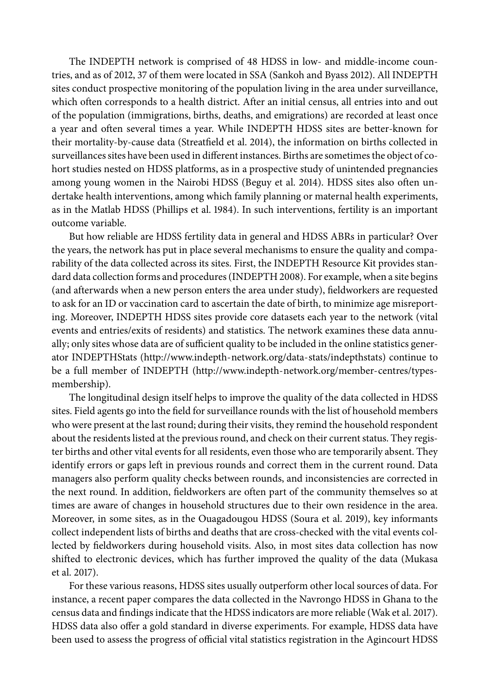The INDEPTH network is comprised of 48 HDSS in low- and middle-income countries, and as of 2012, 37 of them were located in SSA (Sankoh and Byass 2012). All INDEPTH sites conduct prospective monitoring of the population living in the area under surveillance, which often corresponds to a health district. After an initial census, all entries into and out of the population (immigrations, births, deaths, and emigrations) are recorded at least once a year and often several times a year. While INDEPTH HDSS sites are better-known for their mortality-by-cause data (Streatfield et al. 2014), the information on births collected in surveillances sites have been used in different instances. Births are sometimes the object of cohort studies nested on HDSS platforms, as in a prospective study of unintended pregnancies among young women in the Nairobi HDSS (Beguy et al. 2014). HDSS sites also often undertake health interventions, among which family planning or maternal health experiments, as in the Matlab HDSS (Phillips et al. 1984). In such interventions, fertility is an important outcome variable.

But how reliable are HDSS fertility data in general and HDSS ABRs in particular? Over the years, the network has put in place several mechanisms to ensure the quality and comparability of the data collected across its sites. First, the INDEPTH Resource Kit provides standard data collection forms and procedures (INDEPTH 2008). For example, when a site begins (and afterwards when a new person enters the area under study), fieldworkers are requested to ask for an ID or vaccination card to ascertain the date of birth, to minimize age misreporting. Moreover, INDEPTH HDSS sites provide core datasets each year to the network (vital events and entries/exits of residents) and statistics. The network examines these data annually; only sites whose data are of sufficient quality to be included in the online statistics generator INDEPTHStats [\(http://www.indepth-network.org/data-stats/indepthstats\)](http://www.indepth-network.org/data-stats/indepthstats) continue to be a full member of INDEPTH [\(http://www.indepth-network.org/member-centres/types](http://www.indepth-network.org/member-centres/types-membership)[membership\)](http://www.indepth-network.org/member-centres/types-membership).

The longitudinal design itself helps to improve the quality of the data collected in HDSS sites. Field agents go into the field for surveillance rounds with the list of household members who were present at the last round; during their visits, they remind the household respondent about the residents listed at the previous round, and check on their current status. They register births and other vital events for all residents, even those who are temporarily absent. They identify errors or gaps left in previous rounds and correct them in the current round. Data managers also perform quality checks between rounds, and inconsistencies are corrected in the next round. In addition, fieldworkers are often part of the community themselves so at times are aware of changes in household structures due to their own residence in the area. Moreover, in some sites, as in the Ouagadougou HDSS (Soura et al. 2019), key informants collect independent lists of births and deaths that are cross-checked with the vital events collected by fieldworkers during household visits. Also, in most sites data collection has now shifted to electronic devices, which has further improved the quality of the data (Mukasa et al. 2017).

For these various reasons, HDSS sites usually outperform other local sources of data. For instance, a recent paper compares the data collected in the Navrongo HDSS in Ghana to the census data and findings indicate that the HDSS indicators are more reliable (Wak et al. 2017). HDSS data also offer a gold standard in diverse experiments. For example, HDSS data have been used to assess the progress of official vital statistics registration in the Agincourt HDSS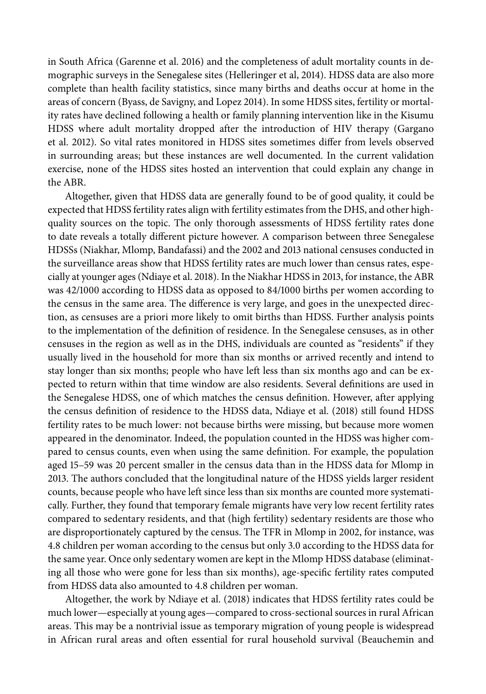in South Africa (Garenne et al. 2016) and the completeness of adult mortality counts in demographic surveys in the Senegalese sites (Helleringer et al, 2014). HDSS data are also more complete than health facility statistics, since many births and deaths occur at home in the areas of concern (Byass, de Savigny, and Lopez 2014). In some HDSS sites, fertility or mortality rates have declined following a health or family planning intervention like in the Kisumu HDSS where adult mortality dropped after the introduction of HIV therapy (Gargano et al. 2012). So vital rates monitored in HDSS sites sometimes differ from levels observed in surrounding areas; but these instances are well documented. In the current validation exercise, none of the HDSS sites hosted an intervention that could explain any change in the ABR.

Altogether, given that HDSS data are generally found to be of good quality, it could be expected that HDSS fertility rates align with fertility estimates from the DHS, and other highquality sources on the topic. The only thorough assessments of HDSS fertility rates done to date reveals a totally different picture however. A comparison between three Senegalese HDSSs (Niakhar, Mlomp, Bandafassi) and the 2002 and 2013 national censuses conducted in the surveillance areas show that HDSS fertility rates are much lower than census rates, especially at younger ages (Ndiaye et al. 2018). In the Niakhar HDSS in 2013, for instance, the ABR was 42/1000 according to HDSS data as opposed to 84/1000 births per women according to the census in the same area. The difference is very large, and goes in the unexpected direction, as censuses are a priori more likely to omit births than HDSS. Further analysis points to the implementation of the definition of residence. In the Senegalese censuses, as in other censuses in the region as well as in the DHS, individuals are counted as "residents" if they usually lived in the household for more than six months or arrived recently and intend to stay longer than six months; people who have left less than six months ago and can be expected to return within that time window are also residents. Several definitions are used in the Senegalese HDSS, one of which matches the census definition. However, after applying the census definition of residence to the HDSS data, Ndiaye et al. (2018) still found HDSS fertility rates to be much lower: not because births were missing, but because more women appeared in the denominator. Indeed, the population counted in the HDSS was higher compared to census counts, even when using the same definition. For example, the population aged 15–59 was 20 percent smaller in the census data than in the HDSS data for Mlomp in 2013. The authors concluded that the longitudinal nature of the HDSS yields larger resident counts, because people who have left since less than six months are counted more systematically. Further, they found that temporary female migrants have very low recent fertility rates compared to sedentary residents, and that (high fertility) sedentary residents are those who are disproportionately captured by the census. The TFR in Mlomp in 2002, for instance, was 4.8 children per woman according to the census but only 3.0 according to the HDSS data for the same year. Once only sedentary women are kept in the Mlomp HDSS database (eliminating all those who were gone for less than six months), age-specific fertility rates computed from HDSS data also amounted to 4.8 children per woman.

Altogether, the work by Ndiaye et al. (2018) indicates that HDSS fertility rates could be much lower—especially at young ages—compared to cross-sectional sources in rural African areas. This may be a nontrivial issue as temporary migration of young people is widespread in African rural areas and often essential for rural household survival (Beauchemin and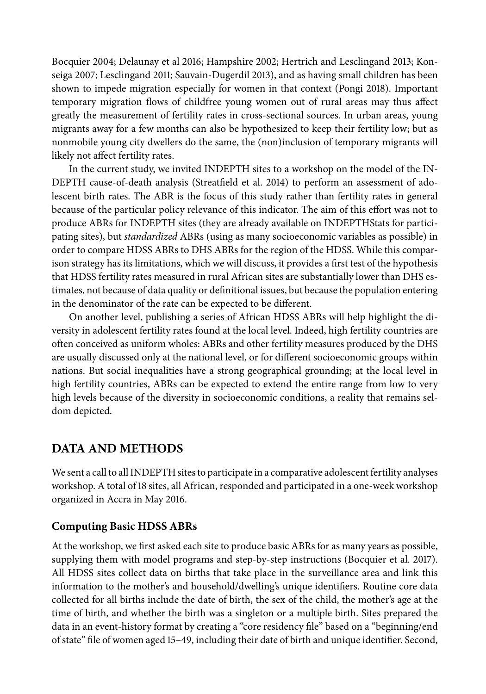Bocquier 2004; Delaunay et al 2016; Hampshire 2002; Hertrich and Lesclingand 2013; Konseiga 2007; Lesclingand 2011; Sauvain-Dugerdil 2013), and as having small children has been shown to impede migration especially for women in that context (Pongi 2018). Important temporary migration flows of childfree young women out of rural areas may thus affect greatly the measurement of fertility rates in cross-sectional sources. In urban areas, young migrants away for a few months can also be hypothesized to keep their fertility low; but as nonmobile young city dwellers do the same, the (non)inclusion of temporary migrants will likely not affect fertility rates.

In the current study, we invited INDEPTH sites to a workshop on the model of the IN-DEPTH cause-of-death analysis (Streatfield et al. 2014) to perform an assessment of adolescent birth rates. The ABR is the focus of this study rather than fertility rates in general because of the particular policy relevance of this indicator. The aim of this effort was not to produce ABRs for INDEPTH sites (they are already available on INDEPTHStats for participating sites), but *standardized* ABRs (using as many socioeconomic variables as possible) in order to compare HDSS ABRs to DHS ABRs for the region of the HDSS. While this comparison strategy has its limitations, which we will discuss, it provides a first test of the hypothesis that HDSS fertility rates measured in rural African sites are substantially lower than DHS estimates, not because of data quality or definitional issues, but because the population entering in the denominator of the rate can be expected to be different.

On another level, publishing a series of African HDSS ABRs will help highlight the diversity in adolescent fertility rates found at the local level. Indeed, high fertility countries are often conceived as uniform wholes: ABRs and other fertility measures produced by the DHS are usually discussed only at the national level, or for different socioeconomic groups within nations. But social inequalities have a strong geographical grounding; at the local level in high fertility countries, ABRs can be expected to extend the entire range from low to very high levels because of the diversity in socioeconomic conditions, a reality that remains seldom depicted.

### **DATA AND METHODS**

We sent a call to all INDEPTH sites to participate in a comparative adolescent fertility analyses workshop. A total of 18 sites, all African, responded and participated in a one-week workshop organized in Accra in May 2016.

#### **Computing Basic HDSS ABRs**

At the workshop, we first asked each site to produce basic ABRs for as many years as possible, supplying them with model programs and step-by-step instructions (Bocquier et al. 2017). All HDSS sites collect data on births that take place in the surveillance area and link this information to the mother's and household/dwelling's unique identifiers. Routine core data collected for all births include the date of birth, the sex of the child, the mother's age at the time of birth, and whether the birth was a singleton or a multiple birth. Sites prepared the data in an event-history format by creating a "core residency file" based on a "beginning/end of state" file of women aged 15–49, including their date of birth and unique identifier. Second,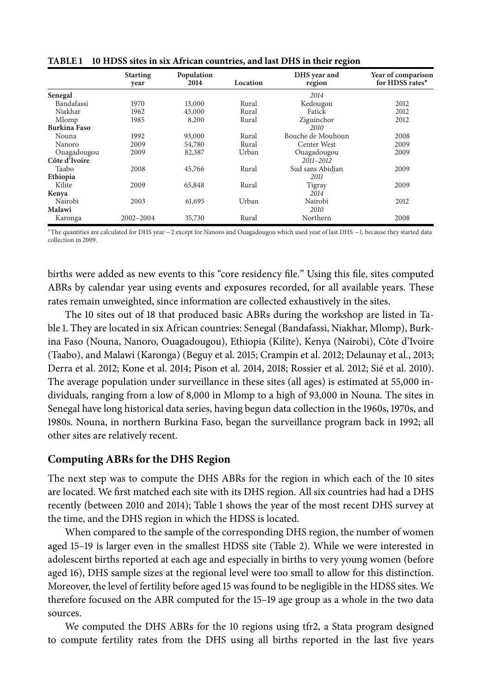|                   | Population<br><b>Starting</b><br>2014<br>Location<br>year |        |       | DHS year and<br>region | Year of comparison<br>for HDSS rates* |  |
|-------------------|-----------------------------------------------------------|--------|-------|------------------------|---------------------------------------|--|
| Senegal           |                                                           |        |       | 2014                   |                                       |  |
| <b>Bandafassi</b> | 1970                                                      | 13,000 | Rural | Kedougou               | 2012                                  |  |
| Niakhar           | 1962                                                      | 43,000 | Rural | Fatick                 | 2012                                  |  |
| Mlomp             | 1985                                                      | 8,200  | Rural | Ziguinchor             | 2012                                  |  |
| Burkina Faso      |                                                           |        |       | 2010                   |                                       |  |
| Nouna             | 1992                                                      | 93,000 | Rural | Bouche de Mouhoun      | 2008                                  |  |
| Nanoro            | 2009                                                      | 54,780 | Rural | Center West            | 2009                                  |  |
| Ouagadougou       | 2009                                                      | 82,387 | Urban | Ouagadougou            | 2009                                  |  |
| Côte d'Ivoire     |                                                           |        |       | 2011-2012              |                                       |  |
| Taabo             | 2008                                                      | 45,766 | Rural | Sud sans Abidjan       | 2009                                  |  |
| Ethiopia          |                                                           |        |       | 2011                   |                                       |  |
| Kilite            | 2009                                                      | 65,848 | Rural | Tigray                 | 2009                                  |  |
| Kenya             |                                                           |        |       | 2014                   |                                       |  |
| Nairobi           | 2003                                                      | 61,695 | Urban | Nairobi                | 2012                                  |  |
| Malawi            |                                                           |        |       | 2010                   |                                       |  |
| Karonga           | 2002-2004                                                 | 35,730 | Rural | Northern               | 2008                                  |  |

**TABLE 1 10 HDSS sites in six African countries, and last DHS in their region** 

<sup>∗</sup>The quantities are calculated for DHS year −2 except for Nanoro and Ouagadougou which used year of last DHS −1, because they started data collection in 2009.

births were added as new events to this "core residency file." Using this file, sites computed ABRs by calendar year using events and exposures recorded, for all available years. These rates remain unweighted, since information are collected exhaustively in the sites.

The 10 sites out of 18 that produced basic ABRs during the workshop are listed in Table 1. They are located in six African countries: Senegal (Bandafassi, Niakhar, Mlomp), Burkina Faso (Nouna, Nanoro, Ouagadougou), Ethiopia (Kilite), Kenya (Nairobi), Côte d'Ivoire (Taabo), and Malawi (Karonga) (Beguy et al. 2015; Crampin et al. 2012; Delaunay et al., 2013; Derra et al. 2012; Kone et al. 2014; Pison et al. 2014, 2018; Rossier et al. 2012; Sié et al. 2010). The average population under surveillance in these sites (all ages) is estimated at 55,000 individuals, ranging from a low of 8,000 in Mlomp to a high of 93,000 in Nouna. The sites in Senegal have long historical data series, having begun data collection in the 1960s, 1970s, and 1980s. Nouna, in northern Burkina Faso, began the surveillance program back in 1992; all other sites are relatively recent.

#### **Computing ABRs for the DHS Region**

The next step was to compute the DHS ABRs for the region in which each of the 10 sites are located. We first matched each site with its DHS region. All six countries had had a DHS recently (between 2010 and 2014); Table 1 shows the year of the most recent DHS survey at the time, and the DHS region in which the HDSS is located.

When compared to the sample of the corresponding DHS region, the number of women aged 15–19 is larger even in the smallest HDSS site (Table 2). While we were interested in adolescent births reported at each age and especially in births to very young women (before aged 16), DHS sample sizes at the regional level were too small to allow for this distinction. Moreover, the level of fertility before aged 15 was found to be negligible in the HDSS sites. We therefore focused on the ABR computed for the 15–19 age group as a whole in the two data sources.

We computed the DHS ABRs for the 10 regions using tfr2, a Stata program designed to compute fertility rates from the DHS using all births reported in the last five years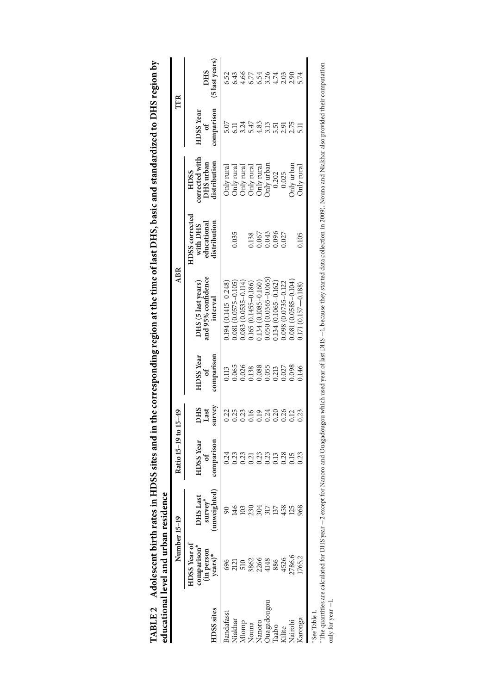|              | educational level and urban residence                      |                                                  |                                                            |                       |                                                  |                                                      |                                                           |                                                                    |                                                    |                                                     |
|--------------|------------------------------------------------------------|--------------------------------------------------|------------------------------------------------------------|-----------------------|--------------------------------------------------|------------------------------------------------------|-----------------------------------------------------------|--------------------------------------------------------------------|----------------------------------------------------|-----------------------------------------------------|
|              | Number 15-19                                               |                                                  | Ratio 15-19 to 15-49                                       |                       |                                                  | <b>ABR</b>                                           |                                                           |                                                                    | TFR                                                |                                                     |
| iDSS sites   | <b>HDSS Year of</b><br>comparison<br>(in person<br>years)* | unweighted)<br><b>DHS</b> Last<br>$s$ urve $v^*$ | comparison<br><b>HDSS</b> Year<br>$\overline{\phantom{a}}$ | survey<br>DHS<br>Last | comparison<br><b>HDSS</b> Year<br>$\mathfrak{h}$ | and 95% confidence<br>DHS (5 last years)<br>interval | HDSS corrected<br>distribution<br>educational<br>with DHS | corrected with<br>distribution<br>DHS urban<br>HDSS                | comparison<br><b>HDSS</b> Year<br>$\int$           | (5 last years)<br><b>DHS</b>                        |
| Bandafassi   | 696                                                        |                                                  | 0.24                                                       |                       | 113                                              | $0.194(0.1415 - 0.248)$                              |                                                           | hly rural                                                          |                                                    |                                                     |
| Niakhar      | 2121                                                       |                                                  |                                                            |                       | 0.65                                             | $0.081(0.0575 - 0.105)$                              | 0.035                                                     |                                                                    |                                                    |                                                     |
| Momp         |                                                            |                                                  | 0.23                                                       |                       |                                                  | $0.083(0.0535 - 0.114)$                              |                                                           |                                                                    |                                                    |                                                     |
| Nouna        |                                                            |                                                  | 0.21                                                       |                       |                                                  | 165 (0.1455-0.186)                                   |                                                           |                                                                    |                                                    |                                                     |
| Nanoro       | 510<br>3862<br>4148                                        |                                                  | 0.23                                                       |                       | 0.026<br>0.138<br>0.065                          | $0.134(0.1085 - 0.160$                               | 0.138<br>0.067<br>0.043<br>0.027                          | Only rural<br>Only rural<br>Only rural<br>Only rural<br>Only urban |                                                    |                                                     |
| uagadougou   |                                                            |                                                  | 0.23                                                       |                       |                                                  | $0.050(0.0365 - 0.065$                               |                                                           |                                                                    |                                                    |                                                     |
| aabo         | 886                                                        |                                                  | 0.13                                                       |                       | 0.213                                            | 134 (0.1065-0.162)                                   |                                                           | 0.202                                                              |                                                    |                                                     |
| Glite        | 4526                                                       |                                                  | 0.28                                                       | 0.26                  | 0.027                                            | 0.98 (0.0735-0.122                                   |                                                           | 0.025                                                              |                                                    |                                                     |
| Nairobi      | 2786.6                                                     |                                                  | 0.15                                                       | 0.12                  | 0980.0<br>0HL                                    | $0.081(0.0585 - 0.104)$                              |                                                           | Only urban                                                         | ti si si si si si si si<br>ti si si si si si si si | 5<br>5 3 3 5 5 5 6 7 6 9 6<br>6 9 9 9 9 9 9 9 0 9 9 |
| Karonga      | 1765.2                                                     | 968                                              | 0.23                                                       | 0.23                  |                                                  | $1.171(0.157 - 0.188)$                               | 0.105                                                     | Only rural                                                         |                                                    |                                                     |
| *See Table 1 |                                                            |                                                  |                                                            |                       |                                                  |                                                      |                                                           |                                                                    |                                                    |                                                     |

| ί<br>$\blacksquare$<br>:<br>C<br>$\frac{1}{2}$<br>$100$ and $100$ and $100$ and $100$ and $100$<br>j<br>Í<br>ļ<br>֧֖֖֧֧֧֧֧֧֧֧֧֧֧֧֚֚֚֚֚֚֚֚֚֚֚֚֚֚֚֚֚֚֚֚֚֚֚֚֓֝֓֝֓֝֬֝֓֝֓֝֓֝֬֝֬֓֝֬֝֬<br>i<br>ו<br>נ<br>I | and lower and was seen to the second case of |
|-----------------------------------------------------------------------------------------------------------------------------------------------------------------------------------------------------|----------------------------------------------|
| <b>TARIE?</b><br>l<br>ו<br>ו<br>֖֖֖֖֪ׅׅׅׅ֖֧֪֪ׅ֪֪֪ׅ֪֪֪ׅ֪֧֚֚֚֚֚֚֚֚֚֚֚֚֚֚֚֚֚֚֚֚֚֚֚֡֝֝֝֬֝֬֝֬֓֝֓֓֓֞֬֝֬                                                                                                   | くうくうし                                        |

oee aane 1.<br>\*The quantities are calculated for DHS year –2 except for Nanoro and Ouagadougou which used year of last DHS –1, because they started data collection in 2009). Nouna and Niakhar also provided their computation<br> ∗The quantities are calculated for DHS year −2 except for Nanoro and Ouagadougou which used year of last DHS −1, because they started data collection in 2009). Nouna and Niakhar also provided their computation only for year −1.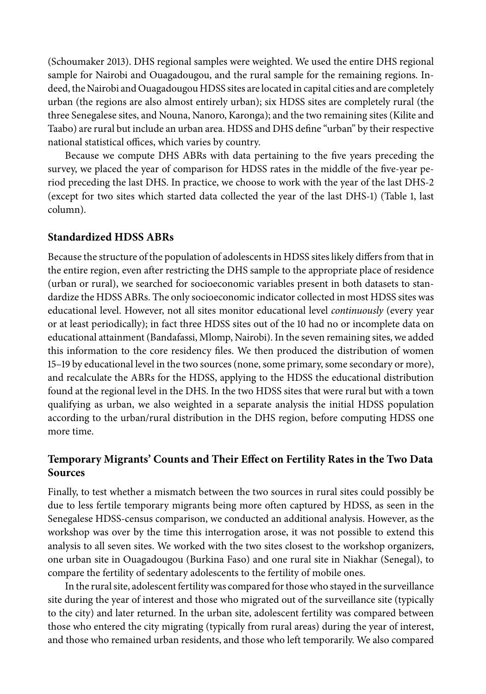(Schoumaker 2013). DHS regional samples were weighted. We used the entire DHS regional sample for Nairobi and Ouagadougou, and the rural sample for the remaining regions. Indeed, the Nairobi and Ouagadougou HDSS sites are located in capital cities and are completely urban (the regions are also almost entirely urban); six HDSS sites are completely rural (the three Senegalese sites, and Nouna, Nanoro, Karonga); and the two remaining sites (Kilite and Taabo) are rural but include an urban area. HDSS and DHS define "urban" by their respective national statistical offices, which varies by country.

Because we compute DHS ABRs with data pertaining to the five years preceding the survey, we placed the year of comparison for HDSS rates in the middle of the five-year period preceding the last DHS. In practice, we choose to work with the year of the last DHS-2 (except for two sites which started data collected the year of the last DHS-1) (Table 1, last column).

#### **Standardized HDSS ABRs**

Because the structure of the population of adolescents in HDSS sites likely differs from that in the entire region, even after restricting the DHS sample to the appropriate place of residence (urban or rural), we searched for socioeconomic variables present in both datasets to standardize the HDSS ABRs. The only socioeconomic indicator collected in most HDSS sites was educational level. However, not all sites monitor educational level *continuously* (every year or at least periodically); in fact three HDSS sites out of the 10 had no or incomplete data on educational attainment (Bandafassi, Mlomp, Nairobi). In the seven remaining sites, we added this information to the core residency files. We then produced the distribution of women 15–19 by educational level in the two sources (none, some primary, some secondary or more), and recalculate the ABRs for the HDSS, applying to the HDSS the educational distribution found at the regional level in the DHS. In the two HDSS sites that were rural but with a town qualifying as urban, we also weighted in a separate analysis the initial HDSS population according to the urban/rural distribution in the DHS region, before computing HDSS one more time.

#### **Temporary Migrants' Counts and Their Effect on Fertility Rates in the Two Data Sources**

Finally, to test whether a mismatch between the two sources in rural sites could possibly be due to less fertile temporary migrants being more often captured by HDSS, as seen in the Senegalese HDSS-census comparison, we conducted an additional analysis. However, as the workshop was over by the time this interrogation arose, it was not possible to extend this analysis to all seven sites. We worked with the two sites closest to the workshop organizers, one urban site in Ouagadougou (Burkina Faso) and one rural site in Niakhar (Senegal), to compare the fertility of sedentary adolescents to the fertility of mobile ones.

In the rural site, adolescent fertility was compared for those who stayed in the surveillance site during the year of interest and those who migrated out of the surveillance site (typically to the city) and later returned. In the urban site, adolescent fertility was compared between those who entered the city migrating (typically from rural areas) during the year of interest, and those who remained urban residents, and those who left temporarily. We also compared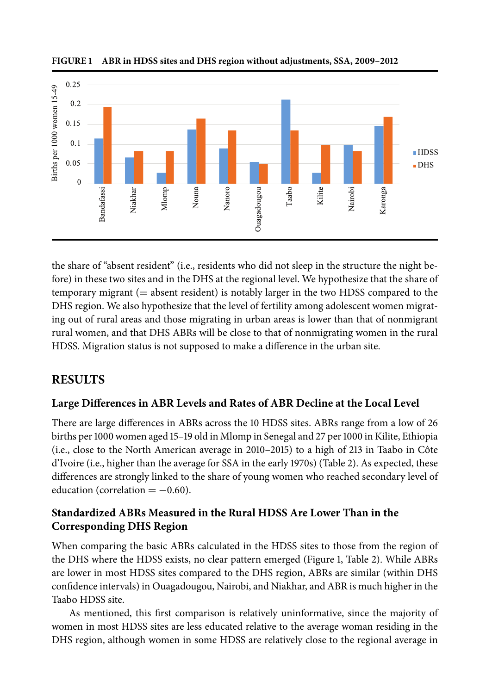

FIGURE 1 ABR in HDSS sites and DHS region without adjustments, SSA, 2009–2012

the share of "absent resident" (i.e., residents who did not sleep in the structure the night before) in these two sites and in the DHS at the regional level. We hypothesize that the share of temporary migrant (= absent resident) is notably larger in the two HDSS compared to the DHS region. We also hypothesize that the level of fertility among adolescent women migrating out of rural areas and those migrating in urban areas is lower than that of nonmigrant rural women, and that DHS ABRs will be close to that of nonmigrating women in the rural HDSS. Migration status is not supposed to make a difference in the urban site.

### **RESULTS**

#### **Large Differences in ABR Levels and Rates of ABR Decline at the Local Level**

There are large differences in ABRs across the 10 HDSS sites. ABRs range from a low of 26 births per 1000 women aged 15–19 old in Mlomp in Senegal and 27 per 1000 in Kilite, Ethiopia (i.e., close to the North American average in 2010–2015) to a high of 213 in Taabo in Côte d'Ivoire (i.e., higher than the average for SSA in the early 1970s) (Table 2). As expected, these differences are strongly linked to the share of young women who reached secondary level of education (correlation  $= -0.60$ ).

#### **Standardized ABRs Measured in the Rural HDSS Are Lower Than in the Corresponding DHS Region**

When comparing the basic ABRs calculated in the HDSS sites to those from the region of the DHS where the HDSS exists, no clear pattern emerged (Figure 1, Table 2). While ABRs are lower in most HDSS sites compared to the DHS region, ABRs are similar (within DHS confidence intervals) in Ouagadougou, Nairobi, and Niakhar, and ABR is much higher in the Taabo HDSS site.

As mentioned, this first comparison is relatively uninformative, since the majority of women in most HDSS sites are less educated relative to the average woman residing in the DHS region, although women in some HDSS are relatively close to the regional average in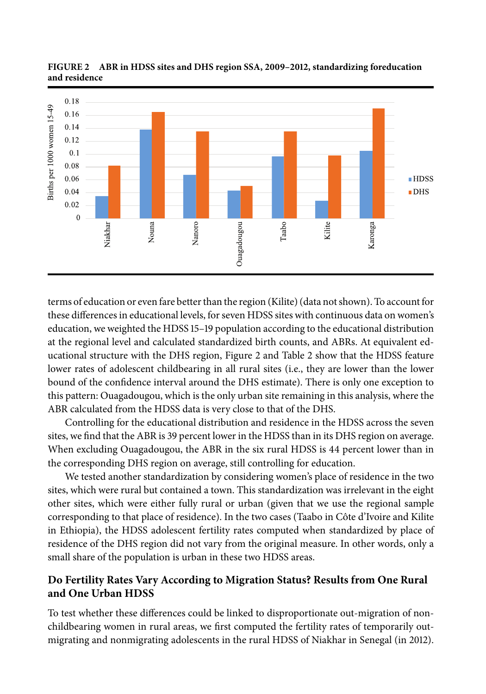

FIGURE 2 ABR in HDSS sites and DHS region SSA, 2009–2012, standardizing foreducation **and residence**

terms of education or even fare better than the region (Kilite) (data not shown). To account for these differences in educational levels, for seven HDSS sites with continuous data on women's education, we weighted the HDSS 15–19 population according to the educational distribution at the regional level and calculated standardized birth counts, and ABRs. At equivalent educational structure with the DHS region, Figure 2 and Table 2 show that the HDSS feature lower rates of adolescent childbearing in all rural sites (i.e., they are lower than the lower bound of the confidence interval around the DHS estimate). There is only one exception to this pattern: Ouagadougou, which is the only urban site remaining in this analysis, where the ABR calculated from the HDSS data is very close to that of the DHS.

Controlling for the educational distribution and residence in the HDSS across the seven sites, we find that the ABR is 39 percent lower in the HDSS than in its DHS region on average. When excluding Ouagadougou, the ABR in the six rural HDSS is 44 percent lower than in the corresponding DHS region on average, still controlling for education.

We tested another standardization by considering women's place of residence in the two sites, which were rural but contained a town. This standardization was irrelevant in the eight other sites, which were either fully rural or urban (given that we use the regional sample corresponding to that place of residence). In the two cases (Taabo in Côte d'Ivoire and Kilite in Ethiopia), the HDSS adolescent fertility rates computed when standardized by place of residence of the DHS region did not vary from the original measure. In other words, only a small share of the population is urban in these two HDSS areas.

#### **Do Fertility Rates Vary According to Migration Status? Results from One Rural and One Urban HDSS**

To test whether these differences could be linked to disproportionate out-migration of nonchildbearing women in rural areas, we first computed the fertility rates of temporarily outmigrating and nonmigrating adolescents in the rural HDSS of Niakhar in Senegal (in 2012).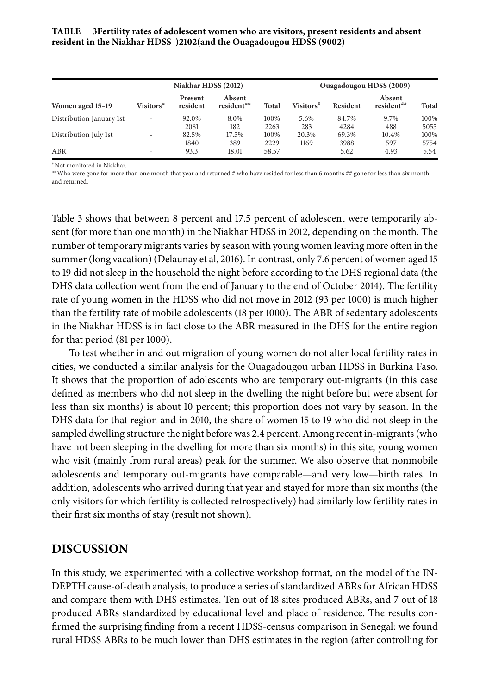**TABLE Fertility rates of adolescent women who are visitors, present residents and absent resident in the Niakhar HDSS )(and the Ouagadougou HDSS ()**

|                          | Niakhar HDSS (2012)      |                            |                      |              | Ouagadougou HDSS (2009) |                 |                        |              |  |
|--------------------------|--------------------------|----------------------------|----------------------|--------------|-------------------------|-----------------|------------------------|--------------|--|
| Women aged 15–19         | Visitors*                | <b>Present</b><br>resident | Absent<br>resident** | <b>Total</b> | Visitors <sup>#</sup>   | <b>Resident</b> | Absent<br>resident $#$ | <b>Total</b> |  |
| Distribution January 1st | -                        | 92.0%<br>2081              | 8.0%<br>182          | 100%<br>2263 | 5.6%<br>283             | 84.7%<br>4284   | 9.7%<br>488            | 100%<br>5055 |  |
| Distribution July 1st    | $\overline{\phantom{a}}$ | 82.5%<br>1840              | 17.5%<br>389         | 100%<br>2229 | 20.3%<br>1169           | 69.3%<br>3988   | 10.4%<br>597           | 100%<br>5754 |  |
| ABR                      | -                        | 93.3                       | 18.01                | 58.57        |                         | 5.62            | 4.93                   | 5.54         |  |

∗Not monitored in Niakhar.

∗∗Who were gone for more than one month that year and returned # who have resided for less than 6 months ## gone for less than six month and returned.

Table 3 shows that between 8 percent and 17.5 percent of adolescent were temporarily absent (for more than one month) in the Niakhar HDSS in 2012, depending on the month. The number of temporary migrants varies by season with young women leaving more often in the summer (long vacation) (Delaunay et al, 2016). In contrast, only 7.6 percent of women aged 15 to 19 did not sleep in the household the night before according to the DHS regional data (the DHS data collection went from the end of January to the end of October 2014). The fertility rate of young women in the HDSS who did not move in 2012 (93 per 1000) is much higher than the fertility rate of mobile adolescents (18 per 1000). The ABR of sedentary adolescents in the Niakhar HDSS is in fact close to the ABR measured in the DHS for the entire region for that period (81 per 1000).

To test whether in and out migration of young women do not alter local fertility rates in cities, we conducted a similar analysis for the Ouagadougou urban HDSS in Burkina Faso. It shows that the proportion of adolescents who are temporary out-migrants (in this case defined as members who did not sleep in the dwelling the night before but were absent for less than six months) is about 10 percent; this proportion does not vary by season. In the DHS data for that region and in 2010, the share of women 15 to 19 who did not sleep in the sampled dwelling structure the night before was 2.4 percent. Among recent in-migrants (who have not been sleeping in the dwelling for more than six months) in this site, young women who visit (mainly from rural areas) peak for the summer. We also observe that nonmobile adolescents and temporary out-migrants have comparable—and very low—birth rates. In addition, adolescents who arrived during that year and stayed for more than six months (the only visitors for which fertility is collected retrospectively) had similarly low fertility rates in their first six months of stay (result not shown).

#### **DISCUSSION**

In this study, we experimented with a collective workshop format, on the model of the IN-DEPTH cause-of-death analysis, to produce a series of standardized ABRs for African HDSS and compare them with DHS estimates. Ten out of 18 sites produced ABRs, and 7 out of 18 produced ABRs standardized by educational level and place of residence. The results confirmed the surprising finding from a recent HDSS-census comparison in Senegal: we found rural HDSS ABRs to be much lower than DHS estimates in the region (after controlling for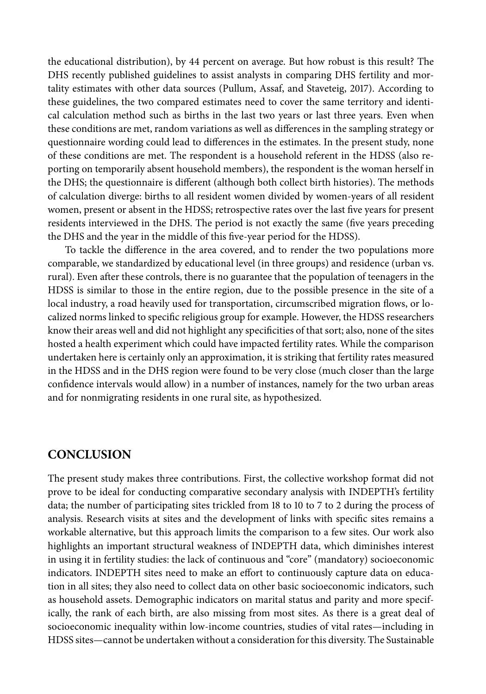the educational distribution), by 44 percent on average. But how robust is this result? The DHS recently published guidelines to assist analysts in comparing DHS fertility and mortality estimates with other data sources (Pullum, Assaf, and Staveteig, 2017). According to these guidelines, the two compared estimates need to cover the same territory and identical calculation method such as births in the last two years or last three years. Even when these conditions are met, random variations as well as differences in the sampling strategy or questionnaire wording could lead to differences in the estimates. In the present study, none of these conditions are met. The respondent is a household referent in the HDSS (also reporting on temporarily absent household members), the respondent is the woman herself in the DHS; the questionnaire is different (although both collect birth histories). The methods of calculation diverge: births to all resident women divided by women-years of all resident women, present or absent in the HDSS; retrospective rates over the last five years for present residents interviewed in the DHS. The period is not exactly the same (five years preceding the DHS and the year in the middle of this five-year period for the HDSS).

To tackle the difference in the area covered, and to render the two populations more comparable, we standardized by educational level (in three groups) and residence (urban vs. rural). Even after these controls, there is no guarantee that the population of teenagers in the HDSS is similar to those in the entire region, due to the possible presence in the site of a local industry, a road heavily used for transportation, circumscribed migration flows, or localized norms linked to specific religious group for example. However, the HDSS researchers know their areas well and did not highlight any specificities of that sort; also, none of the sites hosted a health experiment which could have impacted fertility rates. While the comparison undertaken here is certainly only an approximation, it is striking that fertility rates measured in the HDSS and in the DHS region were found to be very close (much closer than the large confidence intervals would allow) in a number of instances, namely for the two urban areas and for nonmigrating residents in one rural site, as hypothesized.

#### **CONCLUSION**

The present study makes three contributions. First, the collective workshop format did not prove to be ideal for conducting comparative secondary analysis with INDEPTH's fertility data; the number of participating sites trickled from 18 to 10 to 7 to 2 during the process of analysis. Research visits at sites and the development of links with specific sites remains a workable alternative, but this approach limits the comparison to a few sites. Our work also highlights an important structural weakness of INDEPTH data, which diminishes interest in using it in fertility studies: the lack of continuous and "core" (mandatory) socioeconomic indicators. INDEPTH sites need to make an effort to continuously capture data on education in all sites; they also need to collect data on other basic socioeconomic indicators, such as household assets. Demographic indicators on marital status and parity and more specifically, the rank of each birth, are also missing from most sites. As there is a great deal of socioeconomic inequality within low-income countries, studies of vital rates—including in HDSS sites—cannot be undertaken without a consideration for this diversity. The Sustainable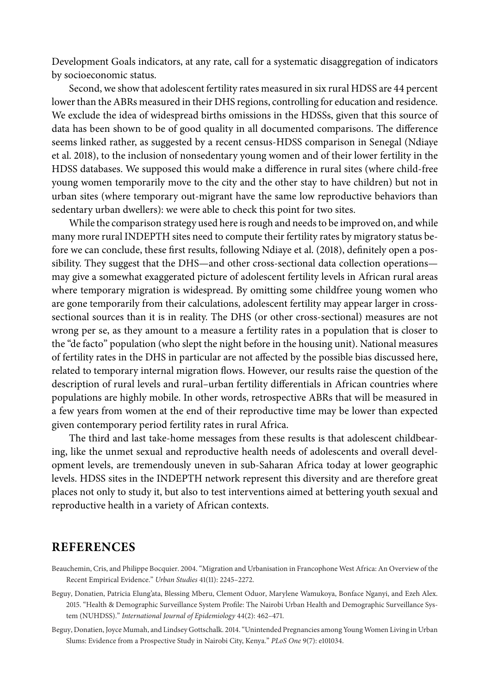Development Goals indicators, at any rate, call for a systematic disaggregation of indicators by socioeconomic status.

Second, we show that adolescent fertility rates measured in six rural HDSS are 44 percent lower than the ABRs measured in their DHS regions, controlling for education and residence. We exclude the idea of widespread births omissions in the HDSSs, given that this source of data has been shown to be of good quality in all documented comparisons. The difference seems linked rather, as suggested by a recent census-HDSS comparison in Senegal (Ndiaye et al. 2018), to the inclusion of nonsedentary young women and of their lower fertility in the HDSS databases. We supposed this would make a difference in rural sites (where child-free young women temporarily move to the city and the other stay to have children) but not in urban sites (where temporary out-migrant have the same low reproductive behaviors than sedentary urban dwellers): we were able to check this point for two sites.

While the comparison strategy used here is rough and needs to be improved on, and while many more rural INDEPTH sites need to compute their fertility rates by migratory status before we can conclude, these first results, following Ndiaye et al. (2018), definitely open a possibility. They suggest that the DHS—and other cross-sectional data collection operations may give a somewhat exaggerated picture of adolescent fertility levels in African rural areas where temporary migration is widespread. By omitting some childfree young women who are gone temporarily from their calculations, adolescent fertility may appear larger in crosssectional sources than it is in reality. The DHS (or other cross-sectional) measures are not wrong per se, as they amount to a measure a fertility rates in a population that is closer to the "de facto" population (who slept the night before in the housing unit). National measures of fertility rates in the DHS in particular are not affected by the possible bias discussed here, related to temporary internal migration flows. However, our results raise the question of the description of rural levels and rural–urban fertility differentials in African countries where populations are highly mobile. In other words, retrospective ABRs that will be measured in a few years from women at the end of their reproductive time may be lower than expected given contemporary period fertility rates in rural Africa.

The third and last take-home messages from these results is that adolescent childbearing, like the unmet sexual and reproductive health needs of adolescents and overall development levels, are tremendously uneven in sub-Saharan Africa today at lower geographic levels. HDSS sites in the INDEPTH network represent this diversity and are therefore great places not only to study it, but also to test interventions aimed at bettering youth sexual and reproductive health in a variety of African contexts.

#### **REFERENCES**

- Beauchemin, Cris, and Philippe Bocquier. 2004. "Migration and Urbanisation in Francophone West Africa: An Overview of the Recent Empirical Evidence." *Urban Studies* 41(11): 2245–2272.
- Beguy, Donatien, Patricia Elung'ata, Blessing Mberu, Clement Oduor, Marylene Wamukoya, Bonface Nganyi, and Ezeh Alex. 2015. "Health & Demographic Surveillance System Profile: The Nairobi Urban Health and Demographic Surveillance System (NUHDSS)." *International Journal of Epidemiology* 44(2): 462–471.

Beguy, Donatien, Joyce Mumah, and Lindsey Gottschalk. 2014. "Unintended Pregnancies among Young Women Living in Urban Slums: Evidence from a Prospective Study in Nairobi City, Kenya." *PLoS One* 9(7): e101034.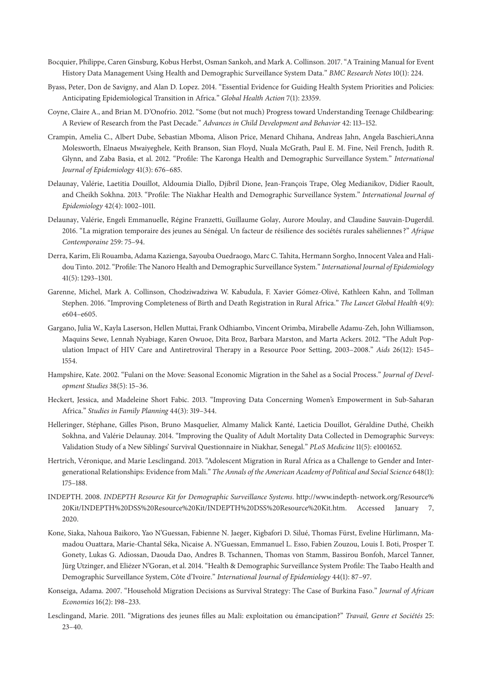- Bocquier, Philippe, Caren Ginsburg, Kobus Herbst, Osman Sankoh, and Mark A. Collinson. 2017. "A Training Manual for Event History Data Management Using Health and Demographic Surveillance System Data." *BMC Research Notes* 10(1): 224.
- Byass, Peter, Don de Savigny, and Alan D. Lopez. 2014. "Essential Evidence for Guiding Health System Priorities and Policies: Anticipating Epidemiological Transition in Africa." *Global Health Action* 7(1): 23359.
- Coyne, Claire A., and Brian M. D'Onofrio. 2012. "Some (but not much) Progress toward Understanding Teenage Childbearing: A Review of Research from the Past Decade." *Advances in Child Development and Behavior* 42: 113–152.
- Crampin, Amelia C., Albert Dube, Sebastian Mboma, Alison Price, Menard Chihana, Andreas Jahn, Angela Baschieri,Anna Molesworth, Elnaeus Mwaiyeghele, Keith Branson, Sian Floyd, Nuala McGrath, Paul E. M. Fine, Neil French, Judith R. Glynn, and Zaba Basia, et al. 2012. "Profile: The Karonga Health and Demographic Surveillance System." *International Journal of Epidemiology* 41(3): 676–685.
- Delaunay, Valérie, Laetitia Douillot, Aldoumia Diallo, Djibril Dione, Jean-François Trape, Oleg Medianikov, Didier Raoult, and Cheikh Sokhna. 2013. "Profile: The Niakhar Health and Demographic Surveillance System." *International Journal of Epidemiology* 42(4): 1002–1011.
- Delaunay, Valérie, Engeli Emmanuelle, Régine Franzetti, Guillaume Golay, Aurore Moulay, and Claudine Sauvain-Dugerdil. 2016. "La migration temporaire des jeunes au Sénégal. Un facteur de résilience des sociétés rurales sahéliennes ?" *Afrique Contemporaine* 259: 75–94.
- Derra, Karim, Eli Rouamba, Adama Kazienga, Sayouba Ouedraogo, Marc C. Tahita, Hermann Sorgho, Innocent Valea and Halidou Tinto. 2012. "Profile: The Nanoro Health and Demographic Surveillance System." *International Journal of Epidemiology* 41(5): 1293–1301.
- Garenne, Michel, Mark A. Collinson, Chodziwadziwa W. Kabudula, F. Xavier Gómez-Olivé, Kathleen Kahn, and Tollman Stephen. 2016. "Improving Completeness of Birth and Death Registration in Rural Africa." *The Lancet Global Health* 4(9): e604–e605.
- Gargano, Julia W., Kayla Laserson, Hellen Muttai, Frank Odhiambo, Vincent Orimba, Mirabelle Adamu-Zeh, John Williamson, Maquins Sewe, Lennah Nyabiage, Karen Owuoe, Dita Broz, Barbara Marston, and Marta Ackers. 2012. "The Adult Population Impact of HIV Care and Antiretroviral Therapy in a Resource Poor Setting, 2003–2008." *Aids* 26(12): 1545– 1554.
- Hampshire, Kate. 2002. "Fulani on the Move: Seasonal Economic Migration in the Sahel as a Social Process." *Journal of Development Studies* 38(5): 15–36.
- Heckert, Jessica, and Madeleine Short Fabic. 2013. "Improving Data Concerning Women's Empowerment in Sub-Saharan Africa." *Studies in Family Planning* 44(3): 319–344.
- Helleringer, Stéphane, Gilles Pison, Bruno Masquelier, Almamy Malick Kanté, Laeticia Douillot, Géraldine Duthé, Cheikh Sokhna, and Valérie Delaunay. 2014. "Improving the Quality of Adult Mortality Data Collected in Demographic Surveys: Validation Study of a New Siblings' Survival Questionnaire in Niakhar, Senegal." *PLoS Medicine* 11(5): e1001652.
- Hertrich, Véronique, and Marie Lesclingand. 2013. "Adolescent Migration in Rural Africa as a Challenge to Gender and Intergenerational Relationships: Evidence from Mali." *The Annals of the American Academy of Political and Social Science* 648(1): 175–188.
- INDEPTH. 2008. *INDEPTH Resource Kit for Demographic Surveillance Systems*. [http://www.indepth-network.org/Resource%](http://www.indepth-network.org/Resource%20Kit/INDEPTH%20DSS%20Resource%20Kit/INDEPTH%20DSS%20Resource%20Kit.htm) [20Kit/INDEPTH%20DSS%20Resource%20Kit/INDEPTH%20DSS%20Resource%20Kit.htm.](http://www.indepth-network.org/Resource%20Kit/INDEPTH%20DSS%20Resource%20Kit/INDEPTH%20DSS%20Resource%20Kit.htm) Accessed January 7, 2020.
- Kone, Siaka, Nahoua Baikoro, Yao N'Guessan, Fabienne N. Jaeger, Kigbafori D. Silué, Thomas Fürst, Eveline Hürlimann, Mamadou Ouattara, Marie-Chantal Séka, Nicaise A. N'Guessan, Emmanuel L. Esso, Fabien Zouzou, Louis I. Boti, Prosper T. Gonety, Lukas G. Adiossan, Daouda Dao, Andres B. Tschannen, Thomas von Stamm, Bassirou Bonfoh, Marcel Tanner, Jürg Utzinger, and Eliézer N'Goran, et al. 2014. "Health & Demographic Surveillance System Profile: The Taabo Health and Demographic Surveillance System, Côte d'Ivoire." *International Journal of Epidemiology* 44(1): 87–97.
- Konseiga, Adama. 2007. "Household Migration Decisions as Survival Strategy: The Case of Burkina Faso." *Journal of African Economies* 16(2): 198–233.
- Lesclingand, Marie. 2011. "Migrations des jeunes filles au Mali: exploitation ou émancipation?" *Travail, Genre et Sociétés* 25: 23–40.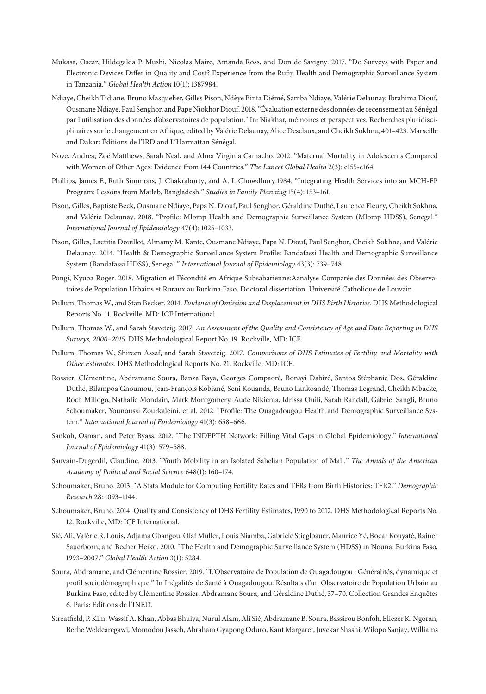- Mukasa, Oscar, Hildegalda P. Mushi, Nicolas Maire, Amanda Ross, and Don de Savigny. 2017. "Do Surveys with Paper and Electronic Devices Differ in Quality and Cost? Experience from the Rufiji Health and Demographic Surveillance System in Tanzania." *Global Health Action* 10(1): 1387984.
- Ndiaye, Cheikh Tidiane, Bruno Masquelier, Gilles Pison, Ndèye Binta Diémé, Samba Ndiaye, Valérie Delaunay, Ibrahima Diouf, Ousmane Ndiaye, Paul Senghor, and Pape Niokhor Diouf. 2018. "Évaluation externe des données de recensement au Sénégal par l'utilisation des données d'observatoires de population." In: Niakhar, mémoires et perspectives. Recherches pluridisciplinaires sur le changement en Afrique, edited by Valérie Delaunay, Alice Desclaux, and Cheikh Sokhna, 401–423. Marseille and Dakar: Éditions de l'IRD and L'Harmattan Sénégal.
- Nove, Andrea, Zoë Matthews, Sarah Neal, and Alma Virginia Camacho. 2012. "Maternal Mortality in Adolescents Compared with Women of Other Ages: Evidence from 144 Countries." *The Lancet Global Health* 2(3): e155-e164
- Phillips, James F., Ruth Simmons, J. Chakraborty, and A. I. Chowdhury.1984. "Integrating Health Services into an MCH-FP Program: Lessons from Matlab, Bangladesh." *Studies in Family Planning* 15(4): 153–161.
- Pison, Gilles, Baptiste Beck, Ousmane Ndiaye, Papa N. Diouf, Paul Senghor, Géraldine Duthé, Laurence Fleury, Cheikh Sokhna, and Valérie Delaunay. 2018. "Profile: Mlomp Health and Demographic Surveillance System (Mlomp HDSS), Senegal." *International Journal of Epidemiology* 47(4): 1025–1033.
- Pison, Gilles, Laetitia Douillot, Almamy M. Kante, Ousmane Ndiaye, Papa N. Diouf, Paul Senghor, Cheikh Sokhna, and Valérie Delaunay. 2014. "Health & Demographic Surveillance System Profile: Bandafassi Health and Demographic Surveillance System (Bandafassi HDSS), Senegal." *International Journal of Epidemiology* 43(3): 739–748.
- Pongi, Nyuba Roger. 2018. Migration et Fécondité en Afrique Subsaharienne:Aanalyse Comparée des Données des Observatoires de Population Urbains et Ruraux au Burkina Faso. Doctoral dissertation. Université Catholique de Louvain
- Pullum, Thomas W., and Stan Becker. 2014. *Evidence of Omission and Displacement in DHS Birth Histories*. DHS Methodological Reports No. 11. Rockville, MD: ICF International.
- Pullum, Thomas W., and Sarah Staveteig. 2017. *An Assessment of the Quality and Consistency of Age and Date Reporting in DHS Surveys, 2000-2015.* DHS Methodological Report No. 19. Rockville, MD: ICF.
- Pullum, Thomas W., Shireen Assaf, and Sarah Staveteig. 2017. *Comparisons of DHS Estimates of Fertility and Mortality with Other Estimates*. DHS Methodological Reports No. 21. Rockville, MD: ICF.
- Rossier, Clémentine, Abdramane Soura, Banza Baya, Georges Compaoré, Bonayi Dabiré, Santos Stéphanie Dos, Géraldine Duthé, Bilampoa Gnoumou, Jean-François Kobiané, Seni Kouanda, Bruno Lankoandé, Thomas Legrand, Cheikh Mbacke, Roch Millogo, Nathalie Mondain, Mark Montgomery, Aude Nikiema, Idrissa Ouili, Sarah Randall, Gabriel Sangli, Bruno Schoumaker, Younoussi Zourkaleini. et al. 2012. "Profile: The Ouagadougou Health and Demographic Surveillance System." *International Journal of Epidemiology* 41(3): 658–666.
- Sankoh, Osman, and Peter Byass. 2012. "The INDEPTH Network: Filling Vital Gaps in Global Epidemiology." *International Journal of Epidemiology* 41(3): 579–588.
- Sauvain-Dugerdil, Claudine. 2013. "Youth Mobility in an Isolated Sahelian Population of Mali." *The Annals of the American Academy of Political and Social Science* 648(1): 160–174.
- Schoumaker, Bruno. 2013. "A Stata Module for Computing Fertility Rates and TFRs from Birth Histories: TFR2." *Demographic Research* 28: 1093–1144.
- Schoumaker, Bruno. 2014. Quality and Consistency of DHS Fertility Estimates, 1990 to 2012. DHS Methodological Reports No. 12. Rockville, MD: ICF International.
- Sié, Ali, Valérie R. Louis, Adjama Gbangou, Olaf Müller, Louis Niamba, Gabriele Stieglbauer, Maurice Yé, Bocar Kouyaté, Rainer Sauerborn, and Becher Heiko. 2010. "The Health and Demographic Surveillance System (HDSS) in Nouna, Burkina Faso, 1993–2007." *Global Health Action* 3(1): 5284.
- Soura, Abdramane, and Clémentine Rossier. 2019. "L'Observatoire de Population de Ouagadougou : Généralités, dynamique et profil sociodémographique." In Inégalités de Santé à Ouagadougou. Résultats d'un Observatoire de Population Urbain au Burkina Faso, edited by Clémentine Rossier, Abdramane Soura, and Géraldine Duthé, 37–70. Collection Grandes Enquêtes 6. Paris: Editions de l'INED.
- Streatfield, P. Kim,Wassif A. Khan, Abbas Bhuiya, Nurul Alam, Ali Sié, Abdramane B. Soura, Bassirou Bonfoh, Eliezer K. Ngoran, BerheWeldearegawi, Momodou Jasseh, Abraham Gyapong Oduro, Kant Margaret, Juvekar Shashi,Wilopo Sanjay,Williams